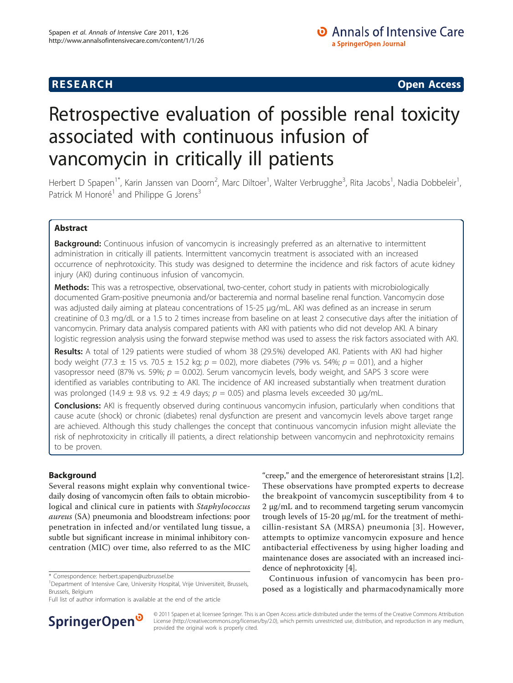**RESEARCH CHRISTIAN CONSUMING CONTRACT CONSUMING CONSUMING CONSUMING CONSUMING CONSUMING CONSUMING CONSUMING CO** 

# Retrospective evaluation of possible renal toxicity associated with continuous infusion of vancomycin in critically ill patients

Herbert D Spapen<sup>1\*</sup>, Karin Janssen van Doorn<sup>2</sup>, Marc Diltoer<sup>1</sup>, Walter Verbrugghe<sup>3</sup>, Rita Jacobs<sup>1</sup>, Nadia Dobbeleir<sup>1</sup> , Patrick M Honoré<sup>1</sup> and Philippe G Jorens<sup>3</sup>

# Abstract

**Background:** Continuous infusion of vancomycin is increasingly preferred as an alternative to intermittent administration in critically ill patients. Intermittent vancomycin treatment is associated with an increased occurrence of nephrotoxicity. This study was designed to determine the incidence and risk factors of acute kidney injury (AKI) during continuous infusion of vancomycin.

Methods: This was a retrospective, observational, two-center, cohort study in patients with microbiologically documented Gram-positive pneumonia and/or bacteremia and normal baseline renal function. Vancomycin dose was adjusted daily aiming at plateau concentrations of 15-25 μg/mL. AKI was defined as an increase in serum creatinine of 0.3 mg/dL or a 1.5 to 2 times increase from baseline on at least 2 consecutive days after the initiation of vancomycin. Primary data analysis compared patients with AKI with patients who did not develop AKI. A binary logistic regression analysis using the forward stepwise method was used to assess the risk factors associated with AKI.

Results: A total of 129 patients were studied of whom 38 (29.5%) developed AKI. Patients with AKI had higher body weight (77.3  $\pm$  15 vs. 70.5  $\pm$  15.2 kg;  $p = 0.02$ ), more diabetes (79% vs. 54%;  $p = 0.01$ ), and a higher vasopressor need (87% vs. 59%;  $p = 0.002$ ). Serum vancomycin levels, body weight, and SAPS 3 score were identified as variables contributing to AKI. The incidence of AKI increased substantially when treatment duration was prolonged (14.9  $\pm$  9.8 vs. 9.2  $\pm$  4.9 days;  $p = 0.05$ ) and plasma levels exceeded 30 µg/mL.

**Conclusions:** AKI is frequently observed during continuous vancomycin infusion, particularly when conditions that cause acute (shock) or chronic (diabetes) renal dysfunction are present and vancomycin levels above target range are achieved. Although this study challenges the concept that continuous vancomycin infusion might alleviate the risk of nephrotoxicity in critically ill patients, a direct relationship between vancomycin and nephrotoxicity remains to be proven.

# Background

Several reasons might explain why conventional twicedaily dosing of vancomycin often fails to obtain microbiological and clinical cure in patients with *Staphylococcus* aureus (SA) pneumonia and bloodstream infections: poor penetration in infected and/or ventilated lung tissue, a subtle but significant increase in minimal inhibitory concentration (MIC) over time, also referred to as the MIC

Full list of author information is available at the end of the article



"creep," and the emergence of heteroresistant strains [[1](#page-6-0),[2](#page-6-0)]. These observations have prompted experts to decrease the breakpoint of vancomycin susceptibility from 4 to 2 μg/mL and to recommend targeting serum vancomycin trough levels of 15-20 μg/mL for the treatment of methicillin-resistant SA (MRSA) pneumonia [[3](#page-6-0)]. However, attempts to optimize vancomycin exposure and hence antibacterial effectiveness by using higher loading and maintenance doses are associated with an increased incidence of nephrotoxicity [[4](#page-6-0)].

Continuous infusion of vancomycin has been proposed as a logistically and pharmacodynamically more

© 2011 Spapen et al; licensee Springer. This is an Open Access article distributed under the terms of the Creative Commons Attribution License [\(http://creativecommons.org/licenses/by/2.0](http://creativecommons.org/licenses/by/2.0)), which permits unrestricted use, distribution, and reproduction in any medium, provided the original work is properly cited.

<sup>\*</sup> Correspondence: [herbert.spapen@uzbrussel.be](mailto:herbert.spapen@uzbrussel.be)

<sup>&</sup>lt;sup>1</sup>Department of Intensive Care, University Hospital, Vrije Universiteit, Brussels, Brussels, Belgium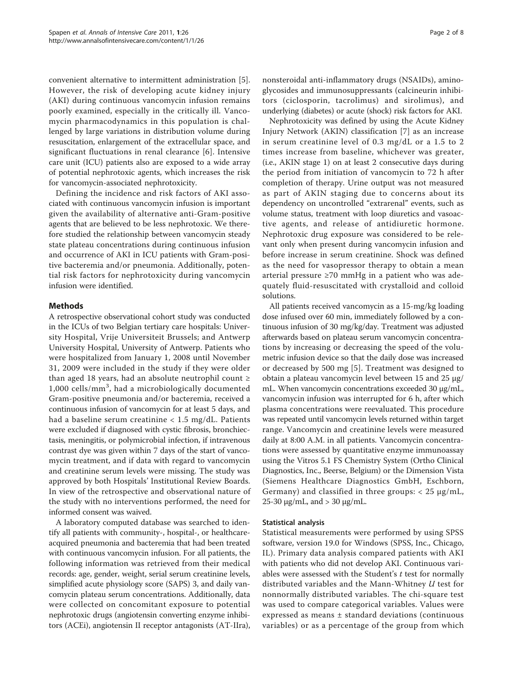convenient alternative to intermittent administration [\[5](#page-6-0)]. However, the risk of developing acute kidney injury (AKI) during continuous vancomycin infusion remains poorly examined, especially in the critically ill. Vancomycin pharmacodynamics in this population is challenged by large variations in distribution volume during resuscitation, enlargement of the extracellular space, and significant fluctuations in renal clearance [[6\]](#page-6-0). Intensive care unit (ICU) patients also are exposed to a wide array of potential nephrotoxic agents, which increases the risk for vancomycin-associated nephrotoxicity.

Defining the incidence and risk factors of AKI associated with continuous vancomycin infusion is important given the availability of alternative anti-Gram-positive agents that are believed to be less nephrotoxic. We therefore studied the relationship between vancomycin steady state plateau concentrations during continuous infusion and occurrence of AKI in ICU patients with Gram-positive bacteremia and/or pneumonia. Additionally, potential risk factors for nephrotoxicity during vancomycin infusion were identified.

# Methods

A retrospective observational cohort study was conducted in the ICUs of two Belgian tertiary care hospitals: University Hospital, Vrije Universiteit Brussels; and Antwerp University Hospital, University of Antwerp. Patients who were hospitalized from January 1, 2008 until November 31, 2009 were included in the study if they were older than aged 18 years, had an absolute neutrophil count ≥ 1,000 cells/mm<sup>3</sup>, had a microbiologically documented Gram-positive pneumonia and/or bacteremia, received a continuous infusion of vancomycin for at least 5 days, and had a baseline serum creatinine < 1.5 mg/dL. Patients were excluded if diagnosed with cystic fibrosis, bronchiectasis, meningitis, or polymicrobial infection, if intravenous contrast dye was given within 7 days of the start of vancomycin treatment, and if data with regard to vancomycin and creatinine serum levels were missing. The study was approved by both Hospitals' Institutional Review Boards. In view of the retrospective and observational nature of the study with no interventions performed, the need for informed consent was waived.

A laboratory computed database was searched to identify all patients with community-, hospital-, or healthcareacquired pneumonia and bacteremia that had been treated with continuous vancomycin infusion. For all patients, the following information was retrieved from their medical records: age, gender, weight, serial serum creatinine levels, simplified acute physiology score (SAPS) 3, and daily vancomycin plateau serum concentrations. Additionally, data were collected on concomitant exposure to potential nephrotoxic drugs (angiotensin converting enzyme inhibitors (ACEi), angiotensin II receptor antagonists (AT-IIra), nonsteroidal anti-inflammatory drugs (NSAIDs), aminoglycosides and immunosuppressants (calcineurin inhibitors (ciclosporin, tacrolimus) and sirolimus), and underlying (diabetes) or acute (shock) risk factors for AKI.

Nephrotoxicity was defined by using the Acute Kidney Injury Network (AKIN) classification [[7\]](#page-6-0) as an increase in serum creatinine level of 0.3 mg/dL or a 1.5 to 2 times increase from baseline, whichever was greater, (i.e., AKIN stage 1) on at least 2 consecutive days during the period from initiation of vancomycin to 72 h after completion of therapy. Urine output was not measured as part of AKIN staging due to concerns about its dependency on uncontrolled "extrarenal" events, such as volume status, treatment with loop diuretics and vasoactive agents, and release of antidiuretic hormone. Nephrotoxic drug exposure was considered to be relevant only when present during vancomycin infusion and before increase in serum creatinine. Shock was defined as the need for vasopressor therapy to obtain a mean arterial pressure ≥70 mmHg in a patient who was adequately fluid-resuscitated with crystalloid and colloid solutions.

All patients received vancomycin as a 15-mg/kg loading dose infused over 60 min, immediately followed by a continuous infusion of 30 mg/kg/day. Treatment was adjusted afterwards based on plateau serum vancomycin concentrations by increasing or decreasing the speed of the volumetric infusion device so that the daily dose was increased or decreased by 500 mg [[5\]](#page-6-0). Treatment was designed to obtain a plateau vancomycin level between 15 and 25 μg/ mL. When vancomycin concentrations exceeded 30 μg/mL, vancomycin infusion was interrupted for 6 h, after which plasma concentrations were reevaluated. This procedure was repeated until vancomycin levels returned within target range. Vancomycin and creatinine levels were measured daily at 8:00 A.M. in all patients. Vancomycin concentrations were assessed by quantitative enzyme immunoassay using the Vitros 5.1 FS Chemistry System (Ortho Clinical Diagnostics, Inc., Beerse, Belgium) or the Dimension Vista (Siemens Healthcare Diagnostics GmbH, Eschborn, Germany) and classified in three groups:  $< 25 \mu g/mL$ , 25-30 μg/mL, and  $>$  30 μg/mL.

### Statistical analysis

Statistical measurements were performed by using SPSS software, version 19.0 for Windows (SPSS, Inc., Chicago, IL). Primary data analysis compared patients with AKI with patients who did not develop AKI. Continuous variables were assessed with the Student's  $t$  test for normally distributed variables and the Mann-Whitney U test for nonnormally distributed variables. The chi-square test was used to compare categorical variables. Values were expressed as means ± standard deviations (continuous variables) or as a percentage of the group from which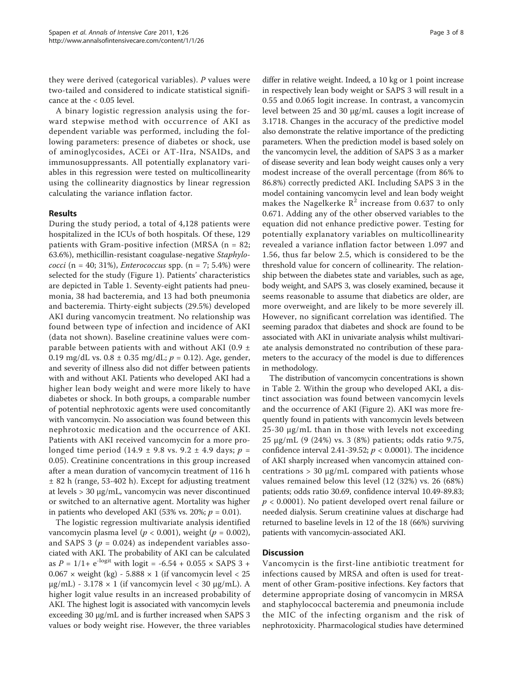they were derived (categorical variables). P values were two-tailed and considered to indicate statistical significance at the < 0.05 level.

A binary logistic regression analysis using the forward stepwise method with occurrence of AKI as dependent variable was performed, including the following parameters: presence of diabetes or shock, use of aminoglycosides, ACEi or AT-IIra, NSAIDs, and immunosuppressants. All potentially explanatory variables in this regression were tested on multicollinearity using the collinearity diagnostics by linear regression calculating the variance inflation factor.

## Results

During the study period, a total of 4,128 patients were hospitalized in the ICUs of both hospitals. Of these, 129 patients with Gram-positive infection (MRSA  $(n = 82;$ 63.6%), methicillin-resistant coagulase-negative Staphylo*cocci* (n = 40; 31%), *Enterococcus* spp. (n = 7; 5.4%) were selected for the study (Figure [1](#page-3-0)). Patients' characteristics are depicted in Table [1.](#page-4-0) Seventy-eight patients had pneumonia, 38 had bacteremia, and 13 had both pneumonia and bacteremia. Thirty-eight subjects (29.5%) developed AKI during vancomycin treatment. No relationship was found between type of infection and incidence of AKI (data not shown). Baseline creatinine values were comparable between patients with and without AKI (0.9  $\pm$ 0.19 mg/dL vs.  $0.8 \pm 0.35$  mg/dL;  $p = 0.12$ ). Age, gender, and severity of illness also did not differ between patients with and without AKI. Patients who developed AKI had a higher lean body weight and were more likely to have diabetes or shock. In both groups, a comparable number of potential nephrotoxic agents were used concomitantly with vancomycin. No association was found between this nephrotoxic medication and the occurrence of AKI. Patients with AKI received vancomycin for a more prolonged time period (14.9 ± 9.8 vs. 9.2 ± 4.9 days;  $p =$ 0.05). Creatinine concentrations in this group increased after a mean duration of vancomycin treatment of 116 h ± 82 h (range, 53-402 h). Except for adjusting treatment at levels > 30 μg/mL, vancomycin was never discontinued or switched to an alternative agent. Mortality was higher in patients who developed AKI (53% vs. 20%;  $p = 0.01$ ).

The logistic regression multivariate analysis identified vancomycin plasma level ( $p < 0.001$ ), weight ( $p = 0.002$ ), and SAPS 3 ( $p = 0.024$ ) as independent variables associated with AKI. The probability of AKI can be calculated as  $P = 1/1 + e^{-\log it}$  with  $\log it = -6.54 + 0.055 \times$  SAPS 3 +  $0.067 \times$  weight (kg) - 5.888  $\times$  1 (if vancomycin level < 25 μg/mL) - 3.178  $\times$  1 (if vancomycin level < 30 μg/mL). A higher logit value results in an increased probability of AKI. The highest logit is associated with vancomycin levels exceeding 30 μg/mL and is further increased when SAPS 3 values or body weight rise. However, the three variables differ in relative weight. Indeed, a 10 kg or 1 point increase in respectively lean body weight or SAPS 3 will result in a 0.55 and 0.065 logit increase. In contrast, a vancomycin level between 25 and 30 μg/mL causes a logit increase of 3.1718. Changes in the accuracy of the predictive model also demonstrate the relative importance of the predicting parameters. When the prediction model is based solely on the vancomycin level, the addition of SAPS 3 as a marker of disease severity and lean body weight causes only a very modest increase of the overall percentage (from 86% to 86.8%) correctly predicted AKI. Including SAPS 3 in the model containing vancomycin level and lean body weight makes the Nagelkerke  $R^2$  increase from 0.637 to only 0.671. Adding any of the other observed variables to the equation did not enhance predictive power. Testing for potentially explanatory variables on multicollinearity revealed a variance inflation factor between 1.097 and 1.56, thus far below 2.5, which is considered to be the threshold value for concern of collinearity. The relationship between the diabetes state and variables, such as age, body weight, and SAPS 3, was closely examined, because it seems reasonable to assume that diabetics are older, are more overweight, and are likely to be more severely ill. However, no significant correlation was identified. The seeming paradox that diabetes and shock are found to be associated with AKI in univariate analysis whilst multivariate analysis demonstrated no contribution of these parameters to the accuracy of the model is due to differences in methodology.

The distribution of vancomycin concentrations is shown in Table [2](#page-4-0). Within the group who developed AKI, a distinct association was found between vancomycin levels and the occurrence of AKI (Figure [2\)](#page-4-0). AKI was more frequently found in patients with vancomycin levels between 25-30 μg/mL than in those with levels not exceeding 25 μg/mL (9 (24%) vs. 3 (8%) patients; odds ratio 9.75, confidence interval 2.41-39.52;  $p < 0.0001$ ). The incidence of AKI sharply increased when vancomycin attained concentrations > 30 μg/mL compared with patients whose values remained below this level (12 (32%) vs. 26 (68%) patients; odds ratio 30.69, confidence interval 10.49-89.83;  $p < 0.0001$ ). No patient developed overt renal failure or needed dialysis. Serum creatinine values at discharge had returned to baseline levels in 12 of the 18 (66%) surviving patients with vancomycin-associated AKI.

### **Discussion**

Vancomycin is the first-line antibiotic treatment for infections caused by MRSA and often is used for treatment of other Gram-positive infections. Key factors that determine appropriate dosing of vancomycin in MRSA and staphylococcal bacteremia and pneumonia include the MIC of the infecting organism and the risk of nephrotoxicity. Pharmacological studies have determined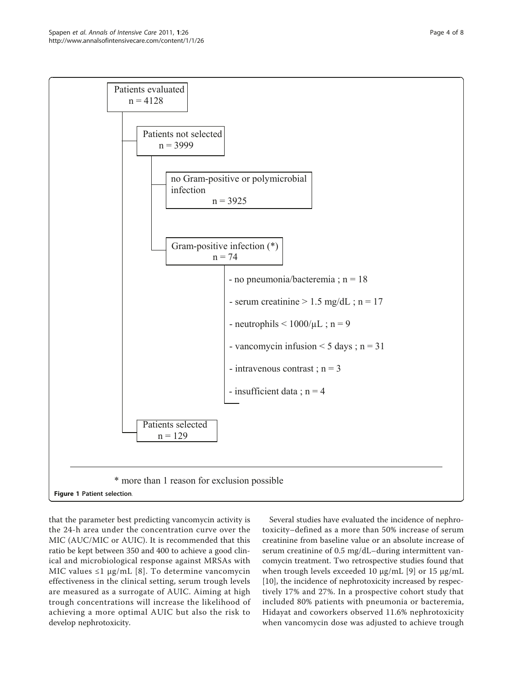<span id="page-3-0"></span>

that the parameter best predicting vancomycin activity is the 24-h area under the concentration curve over the MIC (AUC/MIC or AUIC). It is recommended that this ratio be kept between 350 and 400 to achieve a good clinical and microbiological response against MRSAs with MIC values  $\leq 1$  µg/mL [\[8\]](#page-6-0). To determine vancomycin effectiveness in the clinical setting, serum trough levels are measured as a surrogate of AUIC. Aiming at high trough concentrations will increase the likelihood of achieving a more optimal AUIC but also the risk to develop nephrotoxicity.

Several studies have evaluated the incidence of nephrotoxicity–defined as a more than 50% increase of serum creatinine from baseline value or an absolute increase of serum creatinine of 0.5 mg/dL–during intermittent vancomycin treatment. Two retrospective studies found that when trough levels exceeded 10 μg/mL [[9\]](#page-6-0) or 15 μg/mL [[10\]](#page-6-0), the incidence of nephrotoxicity increased by respectively 17% and 27%. In a prospective cohort study that included 80% patients with pneumonia or bacteremia, Hidayat and coworkers observed 11.6% nephrotoxicity when vancomycin dose was adjusted to achieve trough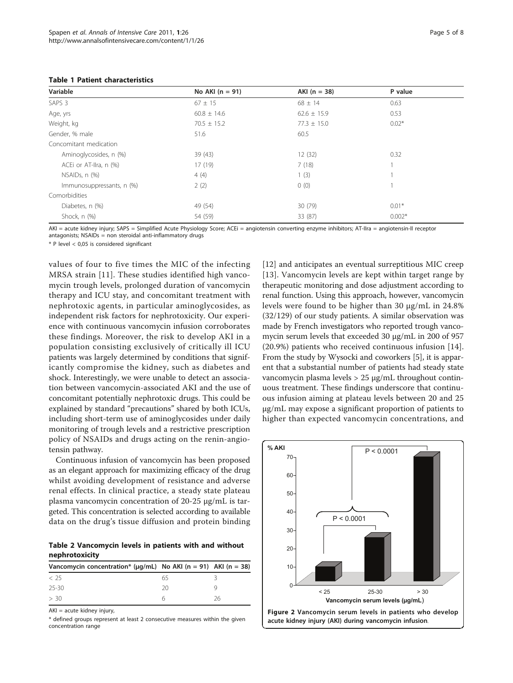| Variable                  | No AKI $(n = 91)$ | $AKI(n = 38)$   | P value  |  |
|---------------------------|-------------------|-----------------|----------|--|
| SAPS <sub>3</sub>         | $67 \pm 15$       | $68 \pm 14$     | 0.63     |  |
| Age, yrs                  | $60.8 \pm 14.6$   | $62.6 \pm 15.9$ | 0.53     |  |
| Weight, kg                | $70.5 \pm 15.2$   | $77.3 \pm 15.0$ | $0.02*$  |  |
| Gender, % male            | 51.6              | 60.5            |          |  |
| Concomitant medication    |                   |                 |          |  |
| Aminoglycosides, n (%)    | 39 (43)           | 12(32)          | 0.32     |  |
| ACEi or AT-IIra, n (%)    | 17 (19)           | 7(18)           |          |  |
| $NSAIDs, n$ $(\%)$        | 4(4)              | 1(3)            |          |  |
| Immunosuppressants, n (%) | 2(2)              | 0(0)            |          |  |
| Comorbidities             |                   |                 |          |  |
| Diabetes, n (%)           | 49 (54)           | 30(79)          | $0.01*$  |  |
| Shock, $n$ $(\%)$         | 54 (59)           | 33 (87)         | $0.002*$ |  |

#### <span id="page-4-0"></span>Table 1 Patient characteristics

AKI = acute kidney injury; SAPS = Simplified Acute Physiology Score; ACEi = angiotensin converting enzyme inhibitors; AT-IIra = angiotensin-II receptor antagonists; NSAIDs = non steroidal anti-inflammatory drugs

\* P level < 0,05 is considered significant

values of four to five times the MIC of the infecting MRSA strain [[11](#page-6-0)]. These studies identified high vancomycin trough levels, prolonged duration of vancomycin therapy and ICU stay, and concomitant treatment with nephrotoxic agents, in particular aminoglycosides, as independent risk factors for nephrotoxicity. Our experience with continuous vancomycin infusion corroborates these findings. Moreover, the risk to develop AKI in a population consisting exclusively of critically ill ICU patients was largely determined by conditions that significantly compromise the kidney, such as diabetes and shock. Interestingly, we were unable to detect an association between vancomycin-associated AKI and the use of concomitant potentially nephrotoxic drugs. This could be explained by standard "precautions" shared by both ICUs, including short-term use of aminoglycosides under daily monitoring of trough levels and a restrictive prescription policy of NSAIDs and drugs acting on the renin-angiotensin pathway.

Continuous infusion of vancomycin has been proposed as an elegant approach for maximizing efficacy of the drug whilst avoiding development of resistance and adverse renal effects. In clinical practice, a steady state plateau plasma vancomycin concentration of 20-25 μg/mL is targeted. This concentration is selected according to available data on the drug's tissue diffusion and protein binding

Table 2 Vancomycin levels in patients with and without nephrotoxicity

| Vancomycin concentration* ( $\mu$ g/mL) No AKI (n = 91) AKI (n = 38) |    |    |
|----------------------------------------------------------------------|----|----|
| < 25                                                                 | 65 |    |
| $25 - 30$                                                            | 20 |    |
| > 30                                                                 |    | 26 |

AKI = acute kidney injury,

\* defined groups represent at least 2 consecutive measures within the given concentration range

[[12\]](#page-6-0) and anticipates an eventual surreptitious MIC creep [[13](#page-6-0)]. Vancomycin levels are kept within target range by therapeutic monitoring and dose adjustment according to renal function. Using this approach, however, vancomycin levels were found to be higher than 30 μg/mL in 24.8% (32/129) of our study patients. A similar observation was made by French investigators who reported trough vancomycin serum levels that exceeded 30 μg/mL in 200 of 957 (20.9%) patients who received continuous infusion [[14](#page-6-0)]. From the study by Wysocki and coworkers [[5](#page-6-0)], it is apparent that a substantial number of patients had steady state vancomycin plasma levels > 25 μg/mL throughout continuous treatment. These findings underscore that continuous infusion aiming at plateau levels between 20 and 25 μg/mL may expose a significant proportion of patients to higher than expected vancomycin concentrations, and



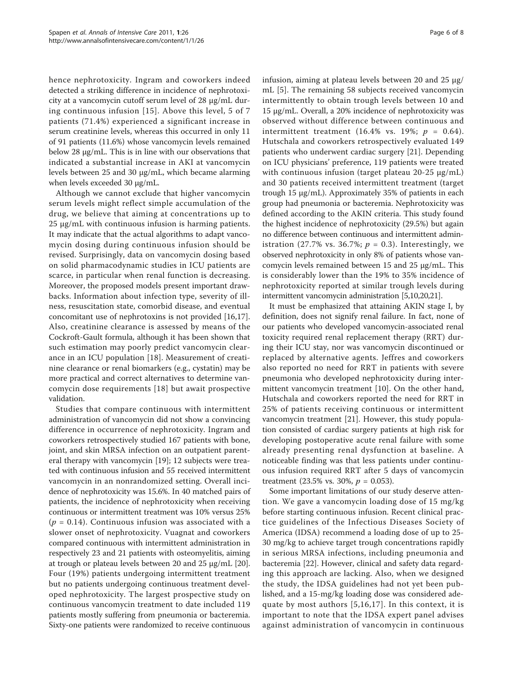hence nephrotoxicity. Ingram and coworkers indeed detected a striking difference in incidence of nephrotoxicity at a vancomycin cutoff serum level of 28 μg/mL during continuous infusion [[15](#page-6-0)]. Above this level, 5 of 7 patients (71.4%) experienced a significant increase in serum creatinine levels, whereas this occurred in only 11 of 91 patients (11.6%) whose vancomycin levels remained below 28 μg/mL. This is in line with our observations that indicated a substantial increase in AKI at vancomycin levels between 25 and 30 μg/mL, which became alarming when levels exceeded 30 μg/mL.

Although we cannot exclude that higher vancomycin serum levels might reflect simple accumulation of the drug, we believe that aiming at concentrations up to 25 μg/mL with continuous infusion is harming patients. It may indicate that the actual algorithms to adapt vancomycin dosing during continuous infusion should be revised. Surprisingly, data on vancomycin dosing based on solid pharmacodynamic studies in ICU patients are scarce, in particular when renal function is decreasing. Moreover, the proposed models present important drawbacks. Information about infection type, severity of illness, resuscitation state, comorbid disease, and eventual concomitant use of nephrotoxins is not provided [\[16](#page-6-0)[,17](#page-7-0)]. Also, creatinine clearance is assessed by means of the Cockroft-Gault formula, although it has been shown that such estimation may poorly predict vancomycin clearance in an ICU population [[18](#page-7-0)]. Measurement of creatinine clearance or renal biomarkers (e.g., cystatin) may be more practical and correct alternatives to determine vancomycin dose requirements [[18](#page-7-0)] but await prospective validation.

Studies that compare continuous with intermittent administration of vancomycin did not show a convincing difference in occurrence of nephrotoxicity. Ingram and coworkers retrospectively studied 167 patients with bone, joint, and skin MRSA infection on an outpatient parenteral therapy with vancomycin [\[19](#page-7-0)]; 12 subjects were treated with continuous infusion and 55 received intermittent vancomycin in an nonrandomized setting. Overall incidence of nephrotoxicity was 15.6%. In 40 matched pairs of patients, the incidence of nephrotoxicity when receiving continuous or intermittent treatment was 10% versus 25%  $(p = 0.14)$ . Continuous infusion was associated with a slower onset of nephrotoxicity. Vuagnat and coworkers compared continuous with intermittent administration in respectively 23 and 21 patients with osteomyelitis, aiming at trough or plateau levels between 20 and 25 μg/mL [[20](#page-7-0)]. Four (19%) patients undergoing intermittent treatment but no patients undergoing continuous treatment developed nephrotoxicity. The largest prospective study on continuous vancomycin treatment to date included 119 patients mostly suffering from pneumonia or bacteremia. Sixty-one patients were randomized to receive continuous infusion, aiming at plateau levels between 20 and 25 μg/ mL [[5\]](#page-6-0). The remaining 58 subjects received vancomycin intermittently to obtain trough levels between 10 and 15 μg/mL. Overall, a 20% incidence of nephrotoxicity was observed without difference between continuous and intermittent treatment (16.4% vs. 19%;  $p = 0.64$ ). Hutschala and coworkers retrospectively evaluated 149 patients who underwent cardiac surgery [[21\]](#page-7-0). Depending on ICU physicians' preference, 119 patients were treated with continuous infusion (target plateau 20-25 μg/mL) and 30 patients received intermittent treatment (target trough 15 μg/mL). Approximately 35% of patients in each group had pneumonia or bacteremia. Nephrotoxicity was defined according to the AKIN criteria. This study found the highest incidence of nephrotoxicity (29.5%) but again no difference between continuous and intermittent administration (27.7% vs. 36.7%;  $p = 0.3$ ). Interestingly, we observed nephrotoxicity in only 8% of patients whose vancomycin levels remained between 15 and 25 μg/mL. This is considerably lower than the 19% to 35% incidence of nephrotoxicity reported at similar trough levels during intermittent vancomycin administration [\[5,10,](#page-6-0)[20,21\]](#page-7-0).

It must be emphasized that attaining AKIN stage I, by definition, does not signify renal failure. In fact, none of our patients who developed vancomycin-associated renal toxicity required renal replacement therapy (RRT) during their ICU stay, nor was vancomycin discontinued or replaced by alternative agents. Jeffres and coworkers also reported no need for RRT in patients with severe pneumonia who developed nephrotoxicity during intermittent vancomycin treatment [[10\]](#page-6-0). On the other hand, Hutschala and coworkers reported the need for RRT in 25% of patients receiving continuous or intermittent vancomycin treatment [\[21](#page-7-0)]. However, this study population consisted of cardiac surgery patients at high risk for developing postoperative acute renal failure with some already presenting renal dysfunction at baseline. A noticeable finding was that less patients under continuous infusion required RRT after 5 days of vancomycin treatment (23.5% vs. 30%,  $p = 0.053$ ).

Some important limitations of our study deserve attention. We gave a vancomycin loading dose of 15 mg/kg before starting continuous infusion. Recent clinical practice guidelines of the Infectious Diseases Society of America (IDSA) recommend a loading dose of up to 25- 30 mg/kg to achieve target trough concentrations rapidly in serious MRSA infections, including pneumonia and bacteremia [\[22\]](#page-7-0). However, clinical and safety data regarding this approach are lacking. Also, when we designed the study, the IDSA guidelines had not yet been published, and a 15-mg/kg loading dose was considered adequate by most authors [[5,16,](#page-6-0)[17](#page-7-0)]. In this context, it is important to note that the IDSA expert panel advises against administration of vancomycin in continuous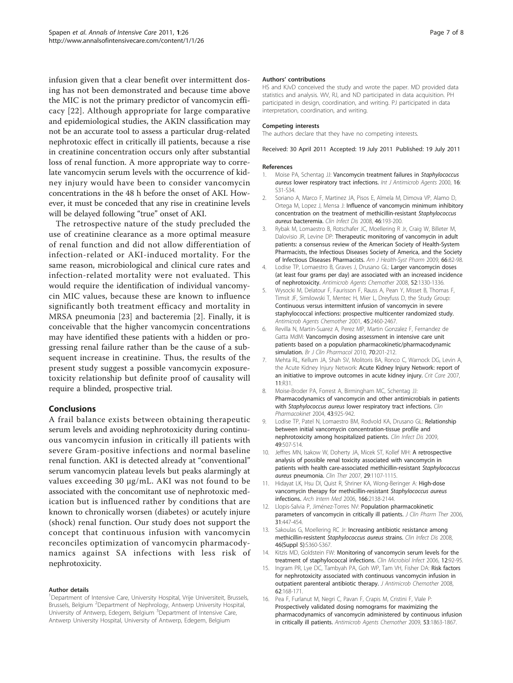<span id="page-6-0"></span>infusion given that a clear benefit over intermittent dosing has not been demonstrated and because time above the MIC is not the primary predictor of vancomycin efficacy [[22](#page-7-0)]. Although appropriate for large comparative and epidemiological studies, the AKIN classification may not be an accurate tool to assess a particular drug-related nephrotoxic effect in critically ill patients, because a rise in creatinine concentration occurs only after substantial loss of renal function. A more appropriate way to correlate vancomycin serum levels with the occurrence of kidney injury would have been to consider vancomycin concentrations in the 48 h before the onset of AKI. However, it must be conceded that any rise in creatinine levels will be delayed following "true" onset of AKI.

The retrospective nature of the study precluded the use of creatinine clearance as a more optimal measure of renal function and did not allow differentiation of infection-related or AKI-induced mortality. For the same reason, microbiological and clinical cure rates and infection-related mortality were not evaluated. This would require the identification of individual vancomycin MIC values, because these are known to influence significantly both treatment efficacy and mortality in MRSA pneumonia [[23\]](#page-7-0) and bacteremia [2]. Finally, it is conceivable that the higher vancomycin concentrations may have identified these patients with a hidden or progressing renal failure rather than be the cause of a subsequent increase in creatinine. Thus, the results of the present study suggest a possible vancomycin exposuretoxicity relationship but definite proof of causality will require a blinded, prospective trial.

### Conclusions

A frail balance exists between obtaining therapeutic serum levels and avoiding nephrotoxicity during continuous vancomycin infusion in critically ill patients with severe Gram-positive infections and normal baseline renal function. AKI is detected already at "conventional" serum vancomycin plateau levels but peaks alarmingly at values exceeding 30 μg/mL. AKI was not found to be associated with the concomitant use of nephrotoxic medication but is influenced rather by conditions that are known to chronically worsen (diabetes) or acutely injure (shock) renal function. Our study does not support the concept that continuous infusion with vancomycin reconciles optimization of vancomycin pharmacodynamics against SA infections with less risk of nephrotoxicity.

#### Author details

<sup>1</sup>Department of Intensive Care, University Hospital, Vrije Universiteit, Brussels, Brussels, Belgium <sup>2</sup>Department of Nephrology, Antwerp University Hospital, University of Antwerp, Edegem, Belgium <sup>3</sup>Department of Intensive Care, Antwerp University Hospital, University of Antwerp, Edegem, Belgium

#### Authors' contributions

HS and KJvD conceived the study and wrote the paper. MD provided data statistics and analysis. WV, RJ, and ND participated in data acquisition. PH participated in design, coordination, and writing. PJ participated in data interpretation, coordination, and writing.

#### Competing interests

The authors declare that they have no competing interests.

Received: 30 April 2011 Accepted: 19 July 2011 Published: 19 July 2011

#### References

- 1. Moise PA, Schentag JJ: [Vancomycin treatment failures in](http://www.ncbi.nlm.nih.gov/pubmed/11137406?dopt=Abstract) Staphylococcus aureus [lower respiratory tract infections.](http://www.ncbi.nlm.nih.gov/pubmed/11137406?dopt=Abstract) Int J Antimicrob Agents 2000, 16: S31-S34.
- 2. Soriano A, Marco F, Martinez JA, Pisos E, Almela M, Dimova VP, Alamo D, Ortega M, Lopez J, Mensa J: [Influence of vancomycin minimum inhibitory](http://www.ncbi.nlm.nih.gov/pubmed/18171250?dopt=Abstract) [concentration on the treatment of methicillin-resistant](http://www.ncbi.nlm.nih.gov/pubmed/18171250?dopt=Abstract) Staphylococcus aureus [bacteremia.](http://www.ncbi.nlm.nih.gov/pubmed/18171250?dopt=Abstract) Clin Infect Dis 2008, 46:193-200.
- 3. Rybak M, Lomaestro B, Rotschafer JC, Moellering R Jr, Craig W, Billeter M, Dalovisio JR, Levine DP: [Therapeutic monitoring of vancomycin in adult](http://www.ncbi.nlm.nih.gov/pubmed/19106348?dopt=Abstract) [patients: a consensus review of the American Society of Health-System](http://www.ncbi.nlm.nih.gov/pubmed/19106348?dopt=Abstract) [Pharmacists, the Infectious Diseases Society of America, and the Society](http://www.ncbi.nlm.nih.gov/pubmed/19106348?dopt=Abstract) [of Infectious Diseases Pharmacists.](http://www.ncbi.nlm.nih.gov/pubmed/19106348?dopt=Abstract) Am J Health-Syst Pharm 2009, 66:82-98.
- Lodise TP, Lomaestro B, Graves J, Drusano GL: [Larger vancomycin doses](http://www.ncbi.nlm.nih.gov/pubmed/18227177?dopt=Abstract) [\(at least four grams per day\) are associated with an increased incidence](http://www.ncbi.nlm.nih.gov/pubmed/18227177?dopt=Abstract) [of nephrotoxicity.](http://www.ncbi.nlm.nih.gov/pubmed/18227177?dopt=Abstract) Antimicrob Agents Chemother 2008, 52:1330-1336.
- 5. Wysocki M, Delatour F, Faurisson F, Rauss A, Pean Y, Misset B, Thomas F, Timsit JF, Similowski T, Mentec H, Mier L, Dreyfuss D, the Study Group: [Continuous versus intermittent infusion of vancomycin in severe](http://www.ncbi.nlm.nih.gov/pubmed/11502515?dopt=Abstract) [staphylococcal infections: prospective multicenter randomized study.](http://www.ncbi.nlm.nih.gov/pubmed/11502515?dopt=Abstract) Antimicrob Agents Chemother 2001, 45:2460-2467.
- 6. Revilla N, Martin-Suarez A, Perez MP, Martin Gonzalez F, Fernandez de Gatta MdM: [Vancomycin dosing assessment in intensive care unit](http://www.ncbi.nlm.nih.gov/pubmed/20653673?dopt=Abstract) [patients based on a population pharmacokinetic/pharmacodynamic](http://www.ncbi.nlm.nih.gov/pubmed/20653673?dopt=Abstract) [simulation.](http://www.ncbi.nlm.nih.gov/pubmed/20653673?dopt=Abstract) Br J Clin Pharmacol 2010, 70:201-212.
- 7. Mehta RL, Kellum JA, Shah SV, Molitoris BA, Ronco C, Warnock DG, Levin A, the Acute Kidney Injury Network: [Acute Kidney Injury Network: report of](http://www.ncbi.nlm.nih.gov/pubmed/17331245?dopt=Abstract) [an initiative to improve outcomes in acute kidney injury.](http://www.ncbi.nlm.nih.gov/pubmed/17331245?dopt=Abstract) Crit Care 2007, 11:R31.
- 8. Moise-Broder PA, Forrest A, Birmingham MC, Schentag JJ: [Pharmacodynamics of vancomycin and other antimicrobials in patients](http://www.ncbi.nlm.nih.gov/pubmed/15509186?dopt=Abstract) with Staphylococcus aureus [lower respiratory tract infections.](http://www.ncbi.nlm.nih.gov/pubmed/15509186?dopt=Abstract) Clin Pharmacokinet 2004, 43:925-942.
- Lodise TP, Patel N, Lomaestro BM, Rodvold KA, Drusano GL: [Relationship](http://www.ncbi.nlm.nih.gov/pubmed/19586413?dopt=Abstract) [between initial vancomycin concentration-tissue profile and](http://www.ncbi.nlm.nih.gov/pubmed/19586413?dopt=Abstract) [nephrotoxicity among hospitalized patients.](http://www.ncbi.nlm.nih.gov/pubmed/19586413?dopt=Abstract) Clin Infect Dis 2009, 49:507-514.
- 10. Jeffres MN, Isakow W, Doherty JA, Micek ST, Kollef MH: [A retrospective](http://www.ncbi.nlm.nih.gov/pubmed/17692725?dopt=Abstract) [analysis of possible renal toxicity associated with vancomycin in](http://www.ncbi.nlm.nih.gov/pubmed/17692725?dopt=Abstract) [patients with health care-associated methicillin-resistant](http://www.ncbi.nlm.nih.gov/pubmed/17692725?dopt=Abstract) Staphylococcus aureus [pneumonia.](http://www.ncbi.nlm.nih.gov/pubmed/17692725?dopt=Abstract) Clin Ther 2007, 29:1107-1115.
- 11. Hidayat LK, Hsu DI, Quist R, Shriner KA, Wong-Beringer A: [High-dose](http://www.ncbi.nlm.nih.gov/pubmed/17060545?dopt=Abstract) [vancomycin therapy for methicillin-resistant](http://www.ncbi.nlm.nih.gov/pubmed/17060545?dopt=Abstract) Staphylococcus aureus [infections.](http://www.ncbi.nlm.nih.gov/pubmed/17060545?dopt=Abstract) Arch Intern Med 2006, 166:2138-2144.
- 12. Llopis-Salvia P, Jiménez-Torres NV: [Population pharmacokinetic](http://www.ncbi.nlm.nih.gov/pubmed/16958822?dopt=Abstract) [parameters of vancomycin in critically ill patients.](http://www.ncbi.nlm.nih.gov/pubmed/16958822?dopt=Abstract) J Clin Pharm Ther 2006, 31:447-454.
- 13. Sakoulas G, Moellering RC Jr: [Increasing antibiotic resistance among](http://www.ncbi.nlm.nih.gov/pubmed/18462091?dopt=Abstract) methicillin-resistent [Staphylococcus aureus](http://www.ncbi.nlm.nih.gov/pubmed/18462091?dopt=Abstract) strains. Clin Infect Dis 2008, 46(Suppl 5):S360-S367.
- 14. Kitzis MD, Goldstein FW: [Monitoring of vancomycin serum levels for the](http://www.ncbi.nlm.nih.gov/pubmed/16460555?dopt=Abstract) [treatment of staphylococcal infections.](http://www.ncbi.nlm.nih.gov/pubmed/16460555?dopt=Abstract) Clin Microbiol Infect 2006, 12:92-95.
- 15. Ingram PR, Lye DC, Tambyah PA, Goh WP, Tam VH, Fisher DA: [Risk factors](http://www.ncbi.nlm.nih.gov/pubmed/18334494?dopt=Abstract) [for nephrotoxicity associated with continuous vancomycin infusion in](http://www.ncbi.nlm.nih.gov/pubmed/18334494?dopt=Abstract) [outpatient parenteral antibiotic therapy.](http://www.ncbi.nlm.nih.gov/pubmed/18334494?dopt=Abstract) J Antimicrob Chemother 2008, 62:168-171.
- 16. Pea F, Furlanut M, Negri C, Pavan F, Crapis M, Cristini F, Viale P: [Prospectively validated dosing nomograms for maximizing the](http://www.ncbi.nlm.nih.gov/pubmed/19223642?dopt=Abstract) [pharmacodynamics of vancomycin administered by continuous infusion](http://www.ncbi.nlm.nih.gov/pubmed/19223642?dopt=Abstract) [in critically ill patients.](http://www.ncbi.nlm.nih.gov/pubmed/19223642?dopt=Abstract) Antimicrob Agents Chemother 2009, 53:1863-1867.